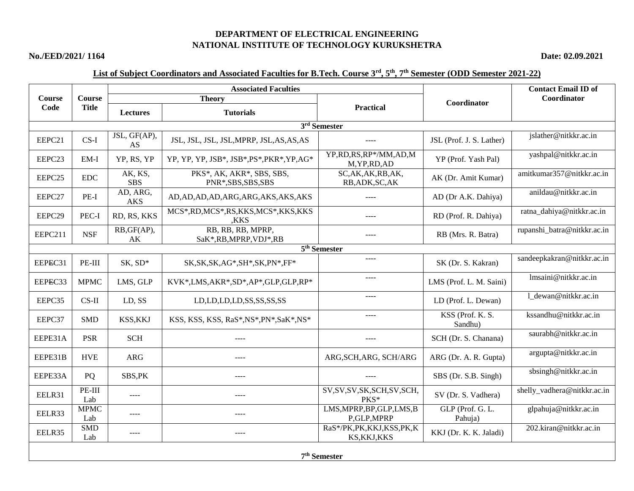## **DEPARTMENT OF ELECTRICAL ENGINEERING NATIONAL INSTITUTE OF TECHNOLOGY KURUKSHETRA**

## **No./EED/2021/ 1164 Date: 02.09.2021**

## **List of Subject Coordinators and Associated Faculties for B.Tech. Course 3rd, 5th, 7th Semester (ODD Semester 2021-22)**

| <b>Course</b><br>Code    | <b>Course</b><br><b>Title</b> |                        | <b>Associated Faculties</b>                      |                                              | <b>Contact Email ID of</b>  |                             |  |  |  |  |  |  |  |
|--------------------------|-------------------------------|------------------------|--------------------------------------------------|----------------------------------------------|-----------------------------|-----------------------------|--|--|--|--|--|--|--|
|                          |                               |                        | <b>Theory</b>                                    |                                              | Coordinator                 | Coordinator                 |  |  |  |  |  |  |  |
|                          |                               | <b>Lectures</b>        | <b>Tutorials</b>                                 | <b>Practical</b>                             |                             |                             |  |  |  |  |  |  |  |
| 3rd Semester             |                               |                        |                                                  |                                              |                             |                             |  |  |  |  |  |  |  |
| EEPC21                   | $CS-I$                        | JSL, GF(AP),<br>AS     | JSL, JSL, JSL, JSL, MPRP, JSL, AS, AS, AS        |                                              | JSL (Prof. J. S. Lather)    | jslather@nitkkr.ac.in       |  |  |  |  |  |  |  |
| EEPC23                   | $EM-I$                        | YP, RS, YP             | YP, YP, YP, JSB*, JSB*, PS*, PKR*, YP, AG*       | YP,RD,RS,RP*/MM,AD,M<br>M, YP, RD, AD        | YP (Prof. Yash Pal)         | yashpal@nitkkr.ac.in        |  |  |  |  |  |  |  |
| EEPC25                   | ${\rm EDC}$                   | AK, KS,<br><b>SBS</b>  | PKS*, AK, AKR*, SBS, SBS,<br>PNR*, SBS, SBS, SBS | SC, AK, AK, RB, AK,<br>RB, ADK, SC, AK       | AK (Dr. Amit Kumar)         | amitkumar357@nitkkr.ac.in   |  |  |  |  |  |  |  |
| EEPC27                   | $PE-I$                        | AD, ARG,<br><b>AKS</b> | AD, AD, AD, AD, ARG, ARG, AKS, AKS, AKS          |                                              | AD (Dr A.K. Dahiya)         | anildau@nitkkr.ac.in        |  |  |  |  |  |  |  |
| EEPC29                   | PEC-I                         | RD, RS, KKS            | MCS*,RD,MCS*,RS,KKS,MCS*,KKS,KKS<br>,KKS         |                                              | RD (Prof. R. Dahiya)        | ratna_dahiya@nitkkr.ac.in   |  |  |  |  |  |  |  |
| EEPC211                  | <b>NSF</b>                    | RB, GF(AP),<br>AK      | RB, RB, RB, MPRP,<br>SaK*, RB, MPRP, VDJ*, RB    | $- - - -$                                    | RB (Mrs. R. Batra)          | rupanshi_batra@nitkkr.ac.in |  |  |  |  |  |  |  |
|                          |                               |                        |                                                  | $\overline{5^{th}}$ Semester                 |                             |                             |  |  |  |  |  |  |  |
| EEPEC31                  | PE-III                        | SK, SD*                | SK, SK, SK, AG*, SH*, SK, PN*, FF*               | ----                                         | SK (Dr. S. Kakran)          | sandeepkakran@nitkkr.ac.in  |  |  |  |  |  |  |  |
| EEPEC33                  | <b>MPMC</b>                   | LMS, GLP               | KVK*,LMS,AKR*,SD*,AP*,GLP,GLP,RP*                |                                              | LMS (Prof. L. M. Saini)     | lmsaini@nitkkr.ac.in        |  |  |  |  |  |  |  |
| EEPC35                   | $CS-II$                       | LD, SS                 | LD,LD,LD,LD,SS,SS,SS,SS                          | $\cdots$                                     | LD (Prof. L. Dewan)         | 1_dewan@nitkkr.ac.in        |  |  |  |  |  |  |  |
| EEPC37                   | <b>SMD</b>                    | KSS, KKJ               | KSS, KSS, KSS, RaS*, NS*, PN*, SaK*, NS*         | $---$                                        | KSS (Prof. K. S.<br>Sandhu) | kssandhu@nitkkr.ac.in       |  |  |  |  |  |  |  |
| EEPE31A                  | <b>PSR</b>                    | <b>SCH</b>             |                                                  |                                              | SCH (Dr. S. Chanana)        | saurabh@nitkkr.ac.in        |  |  |  |  |  |  |  |
| EEPE31B                  | <b>HVE</b>                    | <b>ARG</b>             |                                                  | ARG, SCH, ARG, SCH/ARG                       | ARG (Dr. A. R. Gupta)       | argupta@nitkkr.ac.in        |  |  |  |  |  |  |  |
| EEPE33A                  | PQ                            | SBS, PK                | $- - - -$                                        | $---$                                        | SBS (Dr. S.B. Singh)        | sbsingh@nitkkr.ac.in        |  |  |  |  |  |  |  |
| EELR31                   | PE-III<br>Lab                 | $---$                  | ----                                             | SV, SV, SV, SK, SCH, SV, SCH,<br>PKS*        | SV (Dr. S. Vadhera)         | shelly_vadhera@nitkkr.ac.in |  |  |  |  |  |  |  |
| EELR33                   | <b>MPMC</b><br>Lab            | $\frac{1}{2}$          |                                                  | LMS, MPRP, BP, GLP, LMS, B<br>P,GLP,MPRP     | GLP (Prof. G. L.<br>Pahuja) | glpahuja@nitkkr.ac.in       |  |  |  |  |  |  |  |
| EELR35                   | <b>SMD</b><br>Lab             | $---$                  | $---$                                            | RaS*/PK, PK, KKJ, KSS, PK, K<br>KS, KKJ, KKS | KKJ (Dr. K. K. Jaladi)      | 202.kiran@nitkkr.ac.in      |  |  |  |  |  |  |  |
| 7 <sup>th</sup> Semester |                               |                        |                                                  |                                              |                             |                             |  |  |  |  |  |  |  |